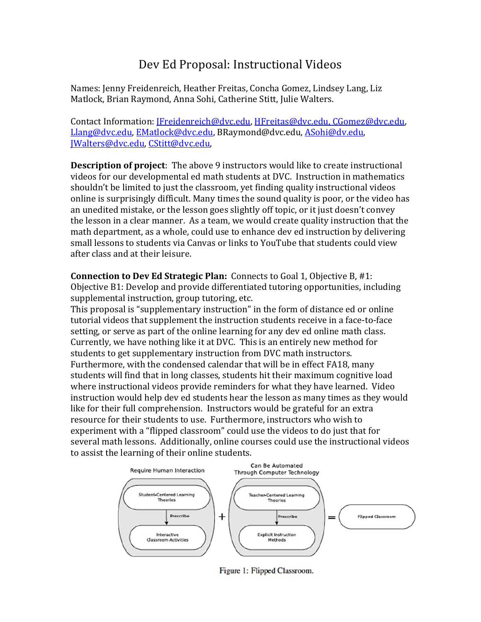## Dev Ed Proposal: Instructional Videos

Names: Jenny Freidenreich, Heather Freitas, Concha Gomez, Lindsey Lang, Liz Matlock, Brian Raymond, Anna Sohi, Catherine Stitt, Julie Walters.

Contact Information: [Freidenreich@dvc.edu, HFreitas@dvc.edu, CGomez@dvc.edu, Llang@dvc.edu, EMatlock@dvc.edu, BRaymond@dvc.edu, ASohi@dv.edu, JWalters@dvc.edu, CStitt@dvc.edu,

**Description of project**: The above 9 instructors would like to create instructional videos for our developmental ed math students at DVC. Instruction in mathematics shouldn't be limited to just the classroom, yet finding quality instructional videos online is surprisingly difficult. Many times the sound quality is poor, or the video has an unedited mistake, or the lesson goes slightly off topic, or it just doesn't convey the lesson in a clear manner. As a team, we would create quality instruction that the math department, as a whole, could use to enhance dev ed instruction by delivering small lessons to students via Canvas or links to YouTube that students could view after class and at their leisure.

**Connection to Dev Ed Strategic Plan:** Connects to Goal 1, Objective B, #1: Objective B1: Develop and provide differentiated tutoring opportunities, including supplemental instruction, group tutoring, etc.

This proposal is "supplementary instruction" in the form of distance ed or online tutorial videos that supplement the instruction students receive in a face-to-face setting, or serve as part of the online learning for any dev ed online math class. Currently, we have nothing like it at DVC. This is an entirely new method for students to get supplementary instruction from DVC math instructors. Furthermore, with the condensed calendar that will be in effect FA18, many students will find that in long classes, students hit their maximum cognitive load where instructional videos provide reminders for what they have learned. Video instruction would help dev ed students hear the lesson as many times as they would like for their full comprehension. Instructors would be grateful for an extra resource for their students to use. Furthermore, instructors who wish to experiment with a "flipped classroom" could use the videos to do just that for several math lessons. Additionally, online courses could use the instructional videos to assist the learning of their online students.



Figure 1: Flipped Classroom.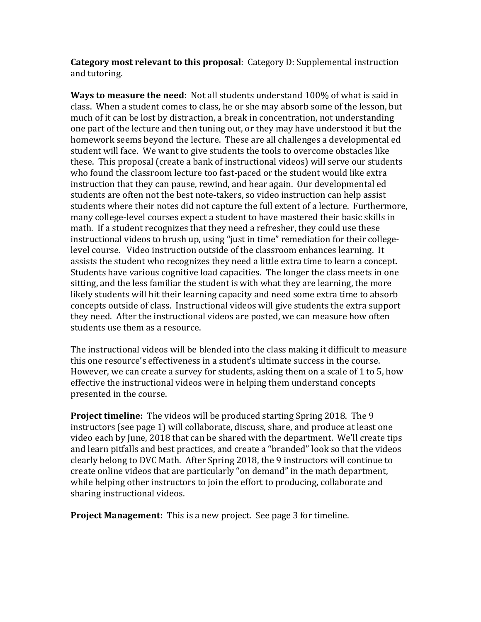**Category** most **relevant to this proposal**: Category D: Supplemental instruction and tutoring.

**Ways to measure the need**: Not all students understand 100% of what is said in class. When a student comes to class, he or she may absorb some of the lesson, but much of it can be lost by distraction, a break in concentration, not understanding one part of the lecture and then tuning out, or they may have understood it but the homework seems beyond the lecture. These are all challenges a developmental ed student will face. We want to give students the tools to overcome obstacles like these. This proposal (create a bank of instructional videos) will serve our students who found the classroom lecture too fast-paced or the student would like extra instruction that they can pause, rewind, and hear again. Our developmental ed students are often not the best note-takers, so video instruction can help assist students where their notes did not capture the full extent of a lecture. Furthermore, many college-level courses expect a student to have mastered their basic skills in math. If a student recognizes that they need a refresher, they could use these instructional videos to brush up, using "just in time" remediation for their collegelevel course. Video instruction outside of the classroom enhances learning. It assists the student who recognizes they need a little extra time to learn a concept. Students have various cognitive load capacities. The longer the class meets in one sitting, and the less familiar the student is with what they are learning, the more likely students will hit their learning capacity and need some extra time to absorb concepts outside of class. Instructional videos will give students the extra support they need. After the instructional videos are posted, we can measure how often students use them as a resource.

The instructional videos will be blended into the class making it difficult to measure this one resource's effectiveness in a student's ultimate success in the course. However, we can create a survey for students, asking them on a scale of 1 to 5, how effective the instructional videos were in helping them understand concepts presented in the course.

**Project timeline:** The videos will be produced starting Spring 2018. The 9 instructors (see page 1) will collaborate, discuss, share, and produce at least one video each by June, 2018 that can be shared with the department. We'll create tips and learn pitfalls and best practices, and create a "branded" look so that the videos clearly belong to DVC Math. After Spring 2018, the 9 instructors will continue to create online videos that are particularly "on demand" in the math department, while helping other instructors to join the effort to producing, collaborate and sharing instructional videos.

**Project Management:** This is a new project. See page 3 for timeline.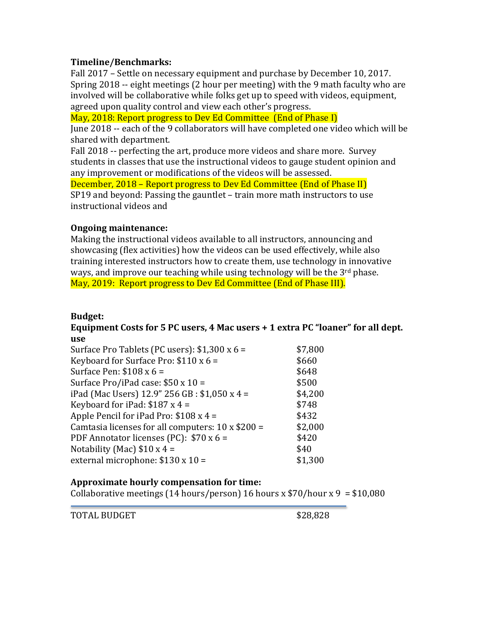#### **Timeline/Benchmarks:**

Fall 2017 - Settle on necessary equipment and purchase by December 10, 2017. Spring  $2018 -$  eight meetings (2 hour per meeting) with the 9 math faculty who are involved will be collaborative while folks get up to speed with videos, equipment, agreed upon quality control and view each other's progress.

May, 2018: Report progress to Dey Ed Committee (End of Phase I)

June 2018 -- each of the 9 collaborators will have completed one video which will be shared with department.

Fall 2018 -- perfecting the art, produce more videos and share more. Survey students in classes that use the instructional videos to gauge student opinion and any improvement or modifications of the videos will be assessed.

December, 2018 – Report progress to Dev Ed Committee (End of Phase II) SP19 and beyond: Passing the gauntlet – train more math instructors to use instructional videos and

#### **Ongoing maintenance:**

Making the instructional videos available to all instructors, announcing and showcasing (flex activities) how the videos can be used effectively, while also training interested instructors how to create them, use technology in innovative ways, and improve our teaching while using technology will be the  $3<sup>rd</sup>$  phase. May, 2019: Report progress to Dev Ed Committee (End of Phase III).

#### **Budget:**

#### **Equipment Costs for 5 PC users, 4 Mac users + 1 extra PC "loaner" for all dept. use**

| Surface Pro Tablets (PC users): \$1,300 x 6 =     | \$7,800 |
|---------------------------------------------------|---------|
| Keyboard for Surface Pro: $$110 x 6 =$            | \$660   |
| Surface Pen: $$108 x 6 =$                         | \$648   |
| Surface Pro/iPad case: $$50 \times 10 =$          | \$500   |
| iPad (Mac Users) 12.9" 256 GB : \$1,050 x 4 =     | \$4,200 |
| Keyboard for iPad: $$187 \times 4 =$              | \$748   |
| Apple Pencil for iPad Pro: $$108x4 =$             | \$432   |
| Camtasia licenses for all computers: 10 x \$200 = | \$2,000 |
| PDF Annotator licenses (PC): \$70 x 6 =           | \$420   |
| Notability (Mac) $$10 x 4 =$                      | \$40    |
| external microphone: $$130 \times 10 =$           | \$1,300 |

#### **Approximate hourly compensation for time:**

Collaborative meetings (14 hours/person) 16 hours x  $$70/h$ our x 9 = \$10,080

TOTAL BUDGET SALES SERVICES SALES SALES SALES SALES SALES SALES SALES SALES SALES SALES SALES SALES SALES SALES SALES SALES SALES SALES SALES SALES SALES SALES SALES SALES SALES SALES SALES SALES SALES SALES SALES SALES SA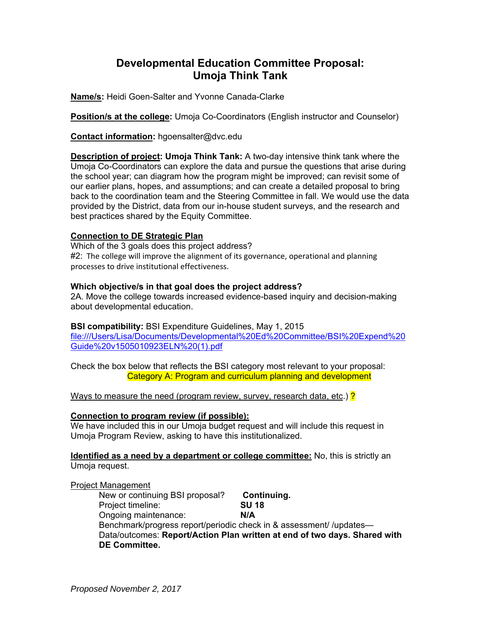## **Developmental Education Committee Proposal: Umoja Think Tank**

**Name/s:** Heidi Goen-Salter and Yvonne Canada-Clarke

**Position/s at the college:** Umoja Co-Coordinators (English instructor and Counselor)

**Contact information:** hgoensalter@dvc.edu

**Description of project: Umoja Think Tank:** A two-day intensive think tank where the Umoja Co-Coordinators can explore the data and pursue the questions that arise during the school year; can diagram how the program might be improved; can revisit some of our earlier plans, hopes, and assumptions; and can create a detailed proposal to bring back to the coordination team and the Steering Committee in fall. We would use the data provided by the District, data from our in-house student surveys, and the research and best practices shared by the Equity Committee.

#### **Connection to DE Strategic Plan**

Which of the 3 goals does this project address?  $#2$ : The college will improve the alignment of its governance, operational and planning processes to drive institutional effectiveness.

#### **Which objective/s in that goal does the project address?**

2A. Move the college towards increased evidence-based inquiry and decision-making about developmental education.

#### **BSI compatibility:** BSI Expenditure Guidelines, May 1, 2015

file:///Users/Lisa/Documents/Developmental%20Ed%20Committee/BSI%20Expend%20 Guide%20v1505010923ELN%20(1).pdf

Check the box below that reflects the BSI category most relevant to your proposal: Category A: Program and curriculum planning and development

Ways to measure the need (program review, survey, research data, etc.) **?** 

#### **Connection to program review (if possible):**

We have included this in our Umoja budget request and will include this request in Umoja Program Review, asking to have this institutionalized.

**Identified as a need by a department or college committee:** No, this is strictly an Umoja request.

#### Project Management

 New or continuing BSI proposal? **Continuing.** Project timeline: **SU 18** Ongoing maintenance: **N/A** Benchmark/progress report/periodic check in & assessment/ /updates— Data/outcomes: **Report/Action Plan written at end of two days. Shared with DE Committee.**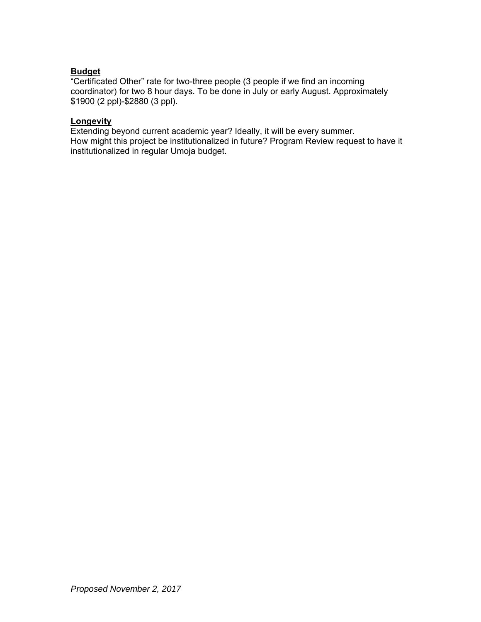#### **Budget**

"Certificated Other" rate for two-three people (3 people if we find an incoming coordinator) for two 8 hour days. To be done in July or early August. Approximately \$1900 (2 ppl)-\$2880 (3 ppl).

#### **Longevity**

Extending beyond current academic year? Ideally, it will be every summer. How might this project be institutionalized in future? Program Review request to have it institutionalized in regular Umoja budget.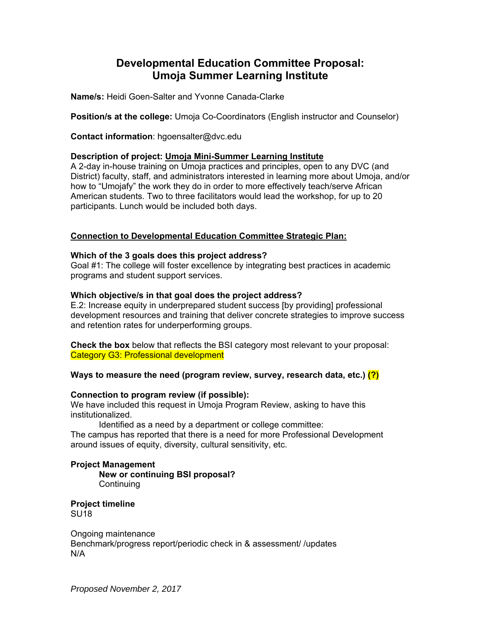## **Developmental Education Committee Proposal: Umoja Summer Learning Institute**

**Name/s:** Heidi Goen-Salter and Yvonne Canada-Clarke

**Position/s at the college:** Umoja Co-Coordinators (English instructor and Counselor)

**Contact information**: hgoensalter@dvc.edu

#### **Description of project: Umoja Mini-Summer Learning Institute**

A 2-day in-house training on Umoja practices and principles, open to any DVC (and District) faculty, staff, and administrators interested in learning more about Umoja, and/or how to "Umojafy" the work they do in order to more effectively teach/serve African American students. Two to three facilitators would lead the workshop, for up to 20 participants. Lunch would be included both days.

#### **Connection to Developmental Education Committee Strategic Plan:**

#### **Which of the 3 goals does this project address?**

Goal #1: The college will foster excellence by integrating best practices in academic programs and student support services.

#### **Which objective/s in that goal does the project address?**

E.2: Increase equity in underprepared student success [by providing] professional development resources and training that deliver concrete strategies to improve success and retention rates for underperforming groups.

**Check the box** below that reflects the BSI category most relevant to your proposal: Category G3: Professional development

#### **Ways to measure the need (program review, survey, research data, etc.) (?)**

#### **Connection to program review (if possible):**

We have included this request in Umoja Program Review, asking to have this institutionalized.

Identified as a need by a department or college committee:

The campus has reported that there is a need for more Professional Development around issues of equity, diversity, cultural sensitivity, etc.

#### **Project Management**

 **New or continuing BSI proposal? Continuing** 

**Project timeline**  SU18

Ongoing maintenance Benchmark/progress report/periodic check in & assessment/ /updates N/A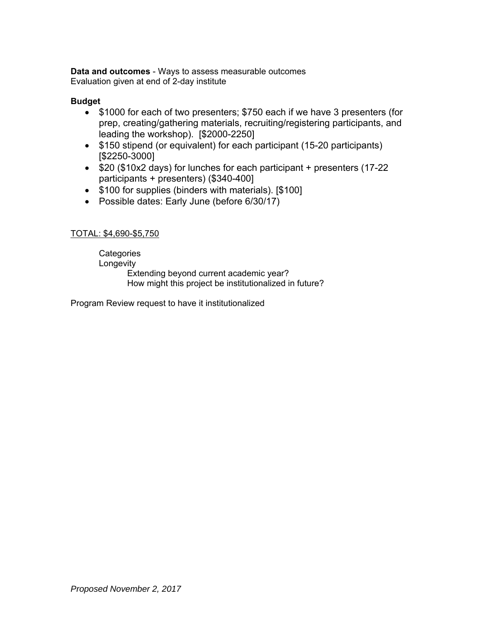**Data and outcomes** - Ways to assess measurable outcomes Evaluation given at end of 2-day institute

#### **Budget**

- \$1000 for each of two presenters; \$750 each if we have 3 presenters (for prep, creating/gathering materials, recruiting/registering participants, and leading the workshop). [\$2000-2250]
- \$150 stipend (or equivalent) for each participant (15-20 participants) [\$2250-3000]
- \$20 (\$10x2 days) for lunches for each participant + presenters (17-22 participants + presenters) (\$340-400]
- \$100 for supplies (binders with materials). [\$100]
- Possible dates: Early June (before 6/30/17)

#### TOTAL: \$4,690-\$5,750

**Categories Longevity** Extending beyond current academic year? How might this project be institutionalized in future?

Program Review request to have it institutionalized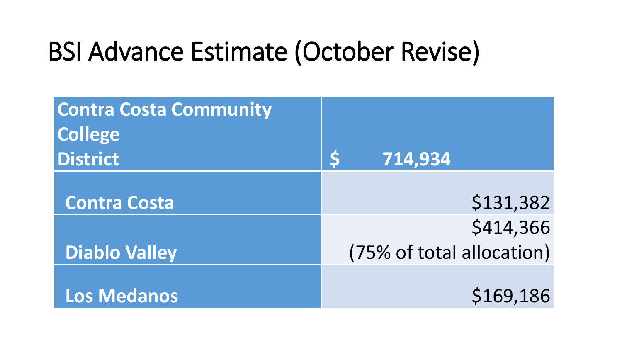# BSI Advance Estimate (October Revise)

| <b>Contra Costa Community</b> |                           |
|-------------------------------|---------------------------|
| <b>College</b>                |                           |
| <b>District</b>               | 714,934                   |
|                               |                           |
| <b>Contra Costa</b>           | \$131,382                 |
|                               | \$414,366                 |
| <b>Diablo Valley</b>          | (75% of total allocation) |
|                               |                           |
| <b>Los Medanos</b>            | \$169,186                 |